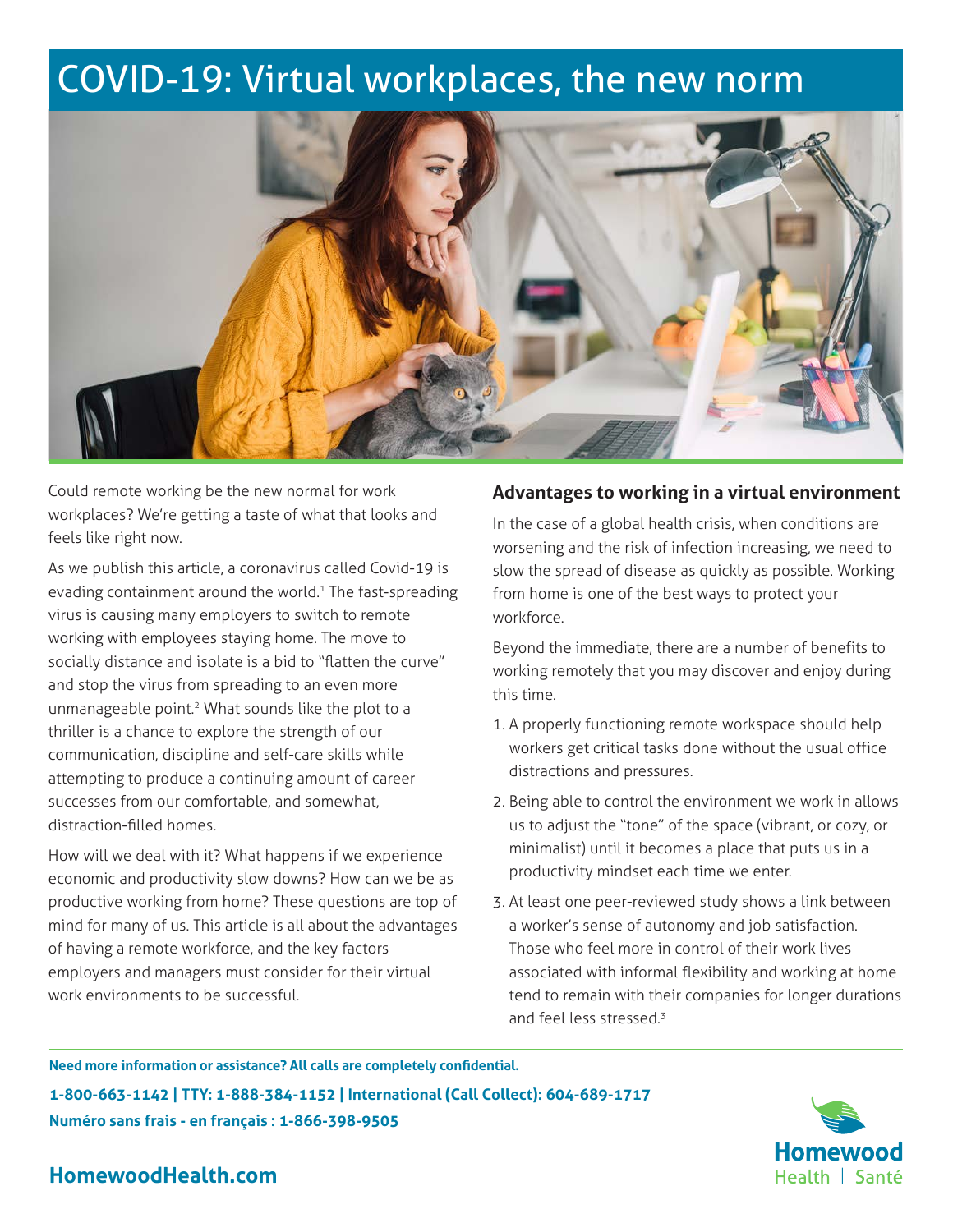# COVID-19: Virtual workplaces, the new norm



Could remote working be the new normal for work workplaces? We're getting a taste of what that looks and feels like right now.

As we publish this article, a coronavirus called Covid-19 is evading containment around the world.<sup>1</sup> The fast-spreading virus is causing many employers to switch to remote working with employees staying home. The move to socially distance and isolate is a bid to "flatten the curve" and stop the virus from spreading to an even more unmanageable point.<sup>2</sup> What sounds like the plot to a thriller is a chance to explore the strength of our communication, discipline and self-care skills while attempting to produce a continuing amount of career successes from our comfortable, and somewhat, distraction-filled homes.

How will we deal with it? What happens if we experience economic and productivity slow downs? How can we be as productive working from home? These questions are top of mind for many of us. This article is all about the advantages of having a remote workforce, and the key factors employers and managers must consider for their virtual work environments to be successful.

#### **Advantages to working in a virtual environment**

In the case of a global health crisis, when conditions are worsening and the risk of infection increasing, we need to slow the spread of disease as quickly as possible. Working from home is one of the best ways to protect your workforce.

Beyond the immediate, there are a number of benefits to working remotely that you may discover and enjoy during this time.

- 1. A properly functioning remote workspace should help workers get critical tasks done without the usual office distractions and pressures.
- 2. Being able to control the environment we work in allows us to adjust the "tone" of the space (vibrant, or cozy, or minimalist) until it becomes a place that puts us in a productivity mindset each time we enter.
- 3. At least one peer-reviewed study shows a link between a worker's sense of autonomy and job satisfaction. Those who feel more in control of their work lives associated with informal flexibility and working at home tend to remain with their companies for longer durations and feel less stressed.<sup>3</sup>

**Need more information or assistance? All calls are completely confidential. 1-800-663-1142 | TTY: 1-888-384-1152 | International (Call Collect): 604-689-1717 Numéro sans frais - en français : 1-866-398-9505**



## **HomewoodHealth.com**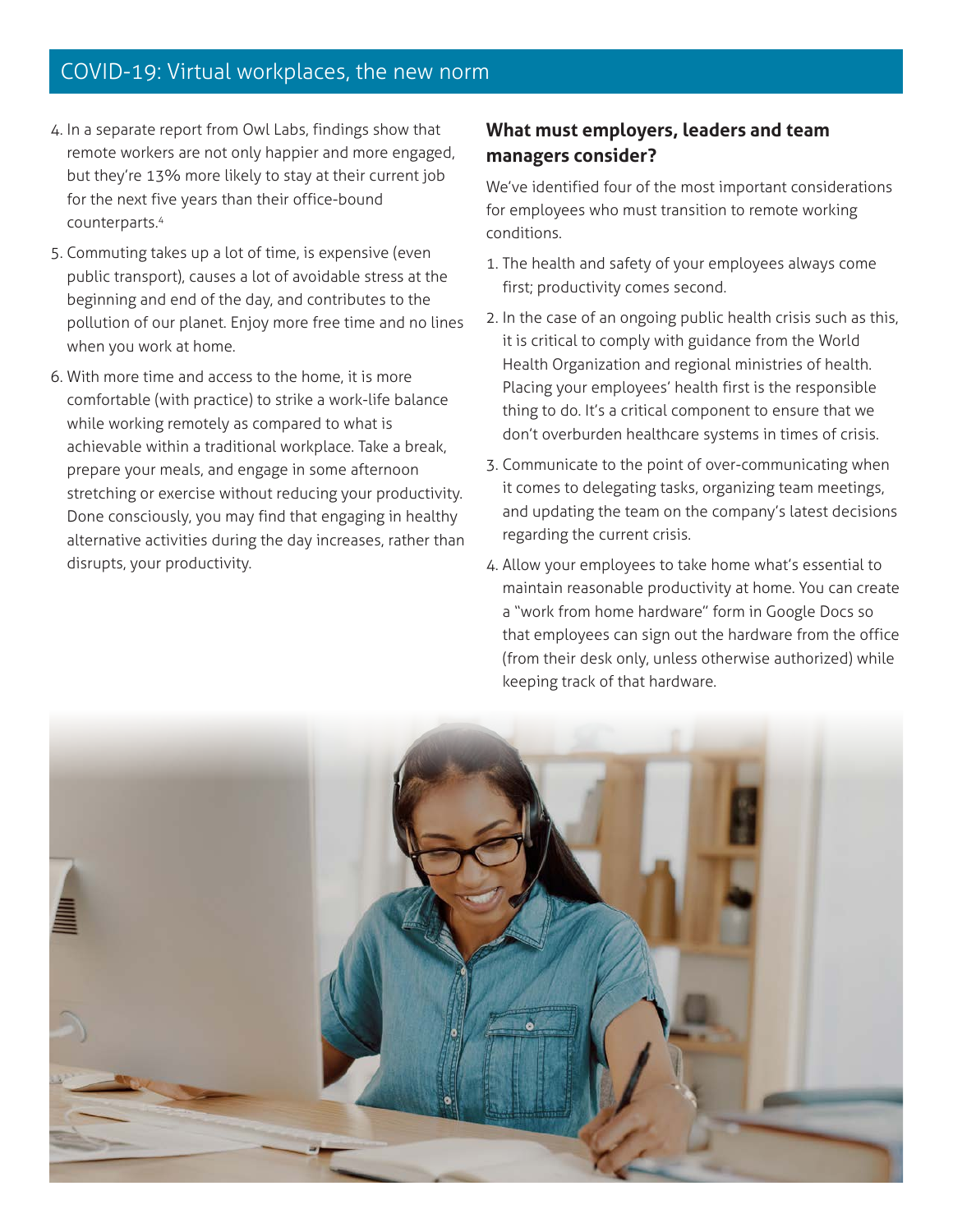## COVID-19: Virtual workplaces, the new norm

- 4. In a separate report from Owl Labs, findings show that remote workers are not only happier and more engaged, but they're 13% more likely to stay at their current job for the next five years than their office-bound counterparts.4
- 5. Commuting takes up a lot of time, is expensive (even public transport), causes a lot of avoidable stress at the beginning and end of the day, and contributes to the pollution of our planet. Enjoy more free time and no lines when you work at home.
- 6. With more time and access to the home, it is more comfortable (with practice) to strike a work-life balance while working remotely as compared to what is achievable within a traditional workplace. Take a break, prepare your meals, and engage in some afternoon stretching or exercise without reducing your productivity. Done consciously, you may find that engaging in healthy alternative activities during the day increases, rather than disrupts, your productivity.

### **What must employers, leaders and team managers consider?**

We've identified four of the most important considerations for employees who must transition to remote working conditions.

- 1. The health and safety of your employees always come first; productivity comes second.
- 2. In the case of an ongoing public health crisis such as this, it is critical to comply with guidance from the World Health Organization and regional ministries of health. Placing your employees' health first is the responsible thing to do. It's a critical component to ensure that we don't overburden healthcare systems in times of crisis.
- 3. Communicate to the point of over-communicating when it comes to delegating tasks, organizing team meetings, and updating the team on the company's latest decisions regarding the current crisis.
- 4. Allow your employees to take home what's essential to maintain reasonable productivity at home. You can create a "work from home hardware" form in Google Docs so that employees can sign out the hardware from the office (from their desk only, unless otherwise authorized) while keeping track of that hardware.

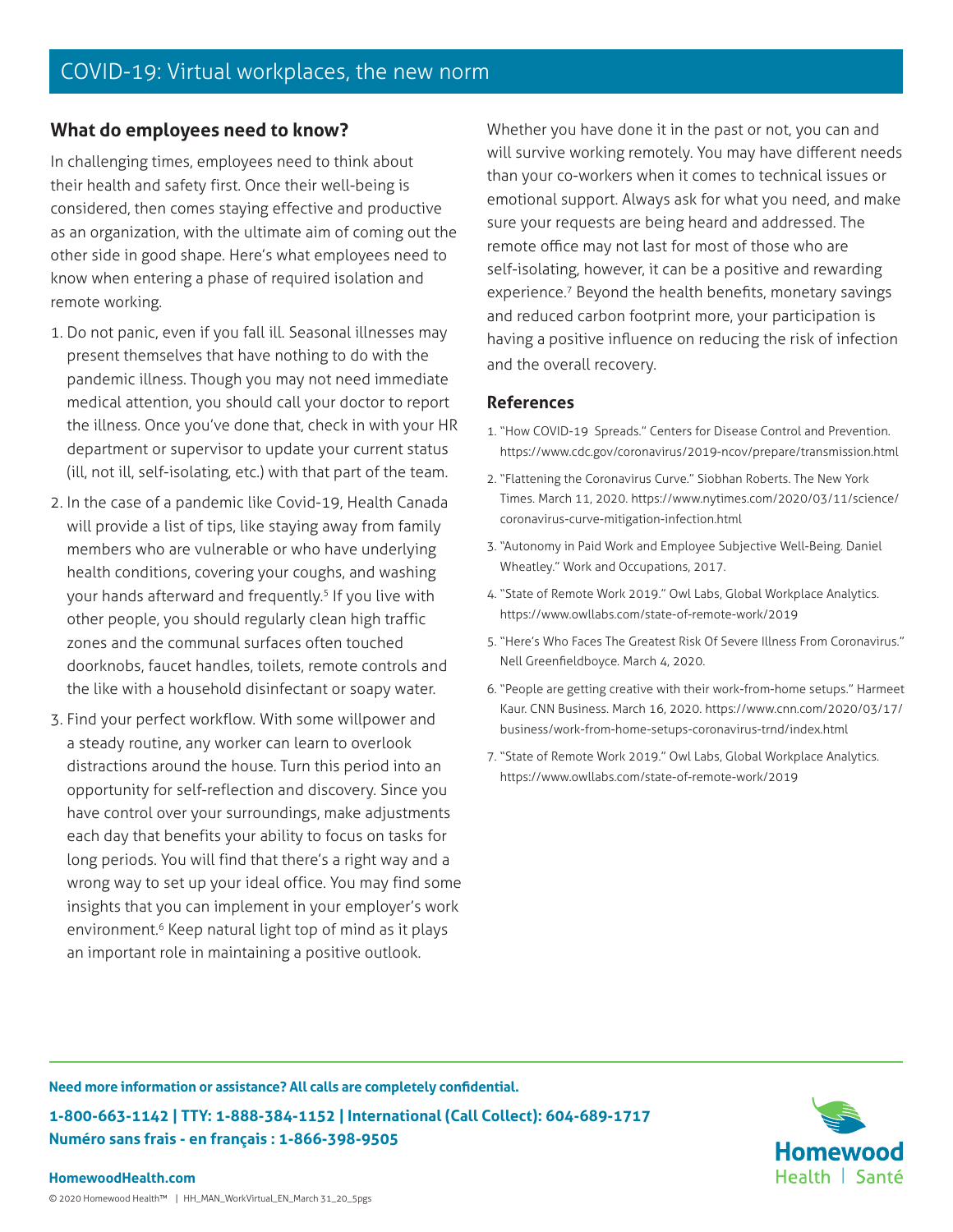### **What do employees need to know?**

In challenging times, employees need to think about their health and safety first. Once their well-being is considered, then comes staying effective and productive as an organization, with the ultimate aim of coming out the other side in good shape. Here's what employees need to know when entering a phase of required isolation and remote working.

- 1. Do not panic, even if you fall ill. Seasonal illnesses may present themselves that have nothing to do with the pandemic illness. Though you may not need immediate medical attention, you should call your doctor to report the illness. Once you've done that, check in with your HR department or supervisor to update your current status (ill, not ill, self-isolating, etc.) with that part of the team.
- 2. In the case of a pandemic like Covid-19, Health Canada will provide a list of tips, like staying away from family members who are vulnerable or who have underlying health conditions, covering your coughs, and washing your hands afterward and frequently.<sup>5</sup> If you live with other people, you should regularly clean high traffic zones and the communal surfaces often touched doorknobs, faucet handles, toilets, remote controls and the like with a household disinfectant or soapy water.
- 3. Find your perfect workflow. With some willpower and a steady routine, any worker can learn to overlook distractions around the house. Turn this period into an opportunity for self-reflection and discovery. Since you have control over your surroundings, make adjustments each day that benefits your ability to focus on tasks for long periods. You will find that there's a right way and a wrong way to set up your ideal office. You may find some insights that you can implement in your employer's work environment.<sup>6</sup> Keep natural light top of mind as it plays an important role in maintaining a positive outlook.

Whether you have done it in the past or not, you can and will survive working remotely. You may have different needs than your co-workers when it comes to technical issues or emotional support. Always ask for what you need, and make sure your requests are being heard and addressed. The remote office may not last for most of those who are self-isolating, however, it can be a positive and rewarding experience.<sup>7</sup> Beyond the health benefits, monetary savings and reduced carbon footprint more, your participation is having a positive influence on reducing the risk of infection and the overall recovery.

#### **References**

- 1. "How COVID-19 Spreads." Centers for Disease Control and Prevention. https://www.cdc.gov/coronavirus/2019-ncov/prepare/transmission.html
- 2. "Flattening the Coronavirus Curve." Siobhan Roberts. The New York Times. March 11, 2020. https://www.nytimes.com/2020/03/11/science/ coronavirus-curve-mitigation-infection.html
- 3. "Autonomy in Paid Work and Employee Subjective Well-Being. Daniel Wheatley." Work and Occupations, 2017.
- 4. "State of Remote Work 2019." Owl Labs, Global Workplace Analytics. https://www.owllabs.com/state-of-remote-work/2019
- 5. "Here's Who Faces The Greatest Risk Of Severe Illness From Coronavirus." Nell Greenfieldboyce. March 4, 2020.
- 6. "People are getting creative with their work-from-home setups." Harmeet Kaur. CNN Business. March 16, 2020. https://www.cnn.com/2020/03/17/ business/work-from-home-setups-coronavirus-trnd/index.html
- 7. "State of Remote Work 2019." Owl Labs, Global Workplace Analytics. https://www.owllabs.com/state-of-remote-work/2019

**Need more information or assistance? All calls are completely confidential. 1-800-663-1142 | TTY: 1-888-384-1152 | International (Call Collect): 604-689-1717 Numéro sans frais - en français : 1-866-398-9505**



#### **HomewoodHealth.com**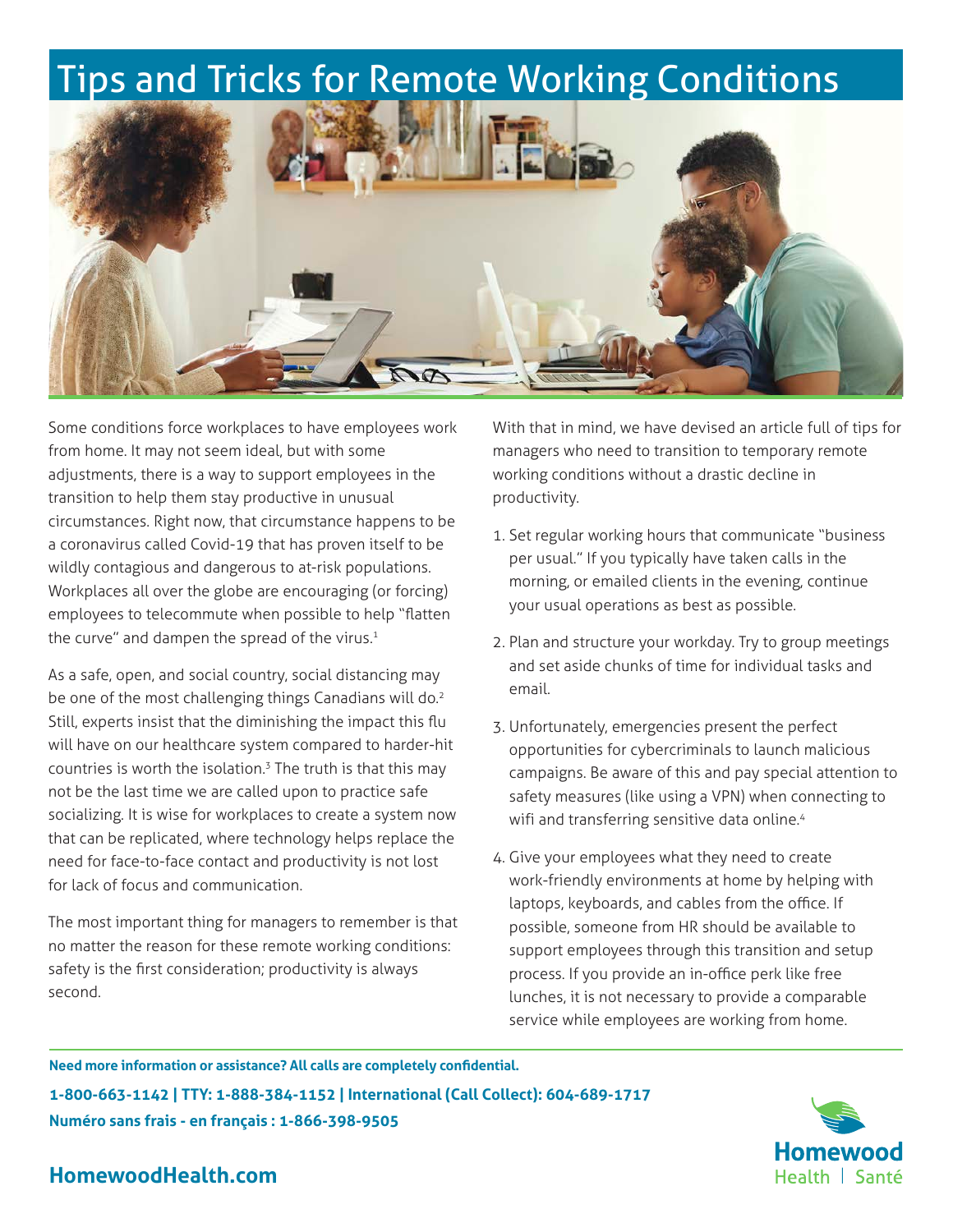# Tips and Tricks for Remote Working Conditions



Some conditions force workplaces to have employees work from home. It may not seem ideal, but with some adjustments, there is a way to support employees in the transition to help them stay productive in unusual circumstances. Right now, that circumstance happens to be a coronavirus called Covid-19 that has proven itself to be wildly contagious and dangerous to at-risk populations. Workplaces all over the globe are encouraging (or forcing) employees to telecommute when possible to help "flatten the curve" and dampen the spread of the virus. $1$ 

As a safe, open, and social country, social distancing may be one of the most challenging things Canadians will do.<sup>2</sup> Still, experts insist that the diminishing the impact this flu will have on our healthcare system compared to harder-hit countries is worth the isolation.<sup>3</sup> The truth is that this may not be the last time we are called upon to practice safe socializing. It is wise for workplaces to create a system now that can be replicated, where technology helps replace the need for face-to-face contact and productivity is not lost for lack of focus and communication.

The most important thing for managers to remember is that no matter the reason for these remote working conditions: safety is the first consideration; productivity is always second.

With that in mind, we have devised an article full of tips for managers who need to transition to temporary remote working conditions without a drastic decline in productivity.

- 1. Set regular working hours that communicate "business per usual." If you typically have taken calls in the morning, or emailed clients in the evening, continue your usual operations as best as possible.
- 2. Plan and structure your workday. Try to group meetings and set aside chunks of time for individual tasks and email.
- 3. Unfortunately, emergencies present the perfect opportunities for cybercriminals to launch malicious campaigns. Be aware of this and pay special attention to safety measures (like using a VPN) when connecting to wifi and transferring sensitive data online.<sup>4</sup>
- 4. Give your employees what they need to create work-friendly environments at home by helping with laptops, keyboards, and cables from the office. If possible, someone from HR should be available to support employees through this transition and setup process. If you provide an in-office perk like free lunches, it is not necessary to provide a comparable service while employees are working from home.

**Need more information or assistance? All calls are completely confidential. 1-800-663-1142 | TTY: 1-888-384-1152 | International (Call Collect): 604-689-1717 Numéro sans frais - en français : 1-866-398-9505**



## **HomewoodHealth.com**